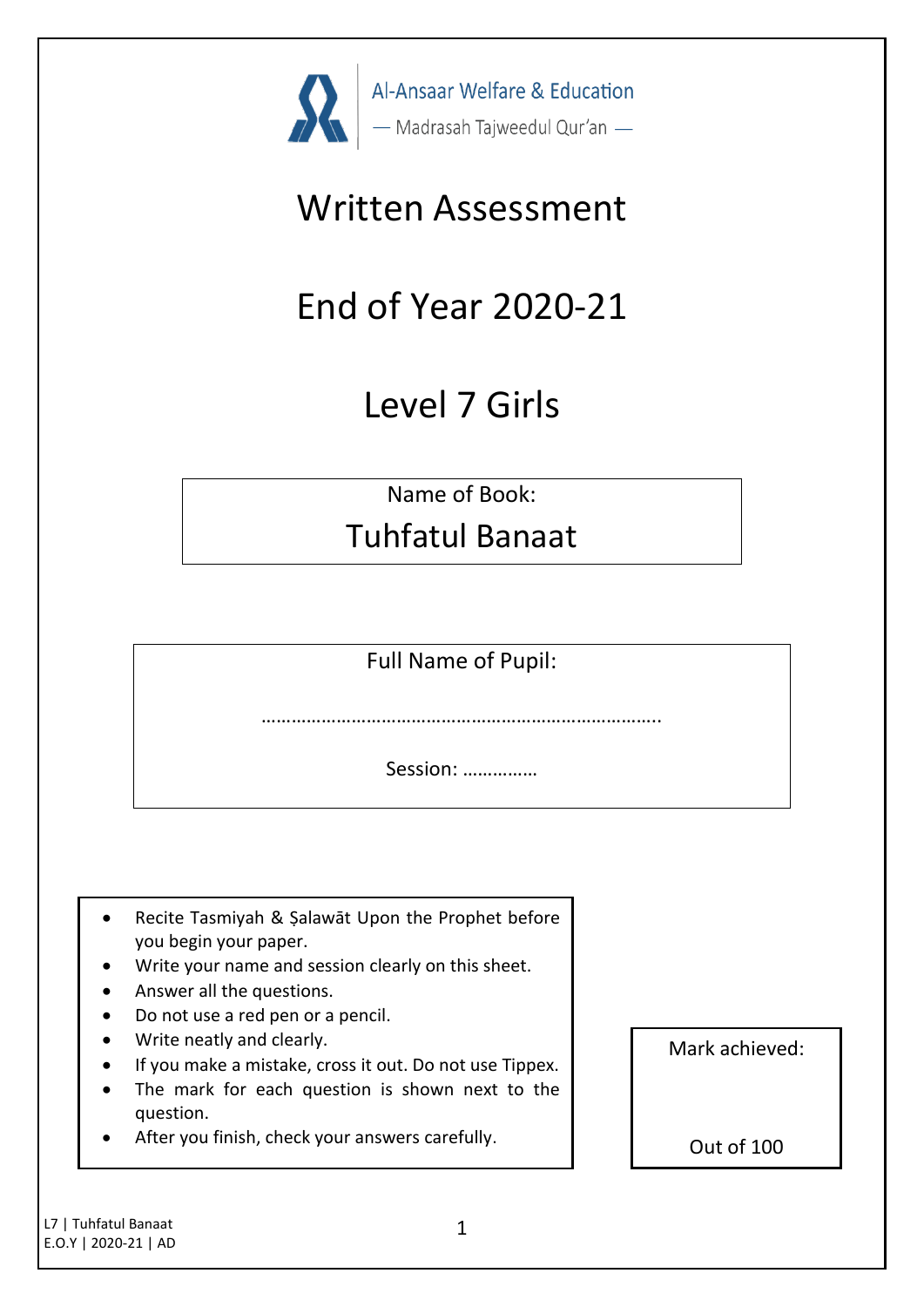

# Written Assessment

# End of Year 2020-21

# Level 7 Girls

Name of Book:

# Tuhfatul Banaat

Full Name of Pupil:

………………………………………………………………

Session: ……………

- Recite Tasmiyah & Şalawāt Upon the Prophet before you begin your paper.
- Write your name and session clearly on this sheet.
- Answer all the questions.
- Do not use a red pen or a pencil.
- Write neatly and clearly.
- If you make a mistake, cross it out. Do not use Tippex.
- The mark for each question is shown next to the question.
- After you finish, check your answers carefully.

Mark achieved:

Out of 100

L7 | Tuhfatul Banaat E.O.Y | 2020-21 | AD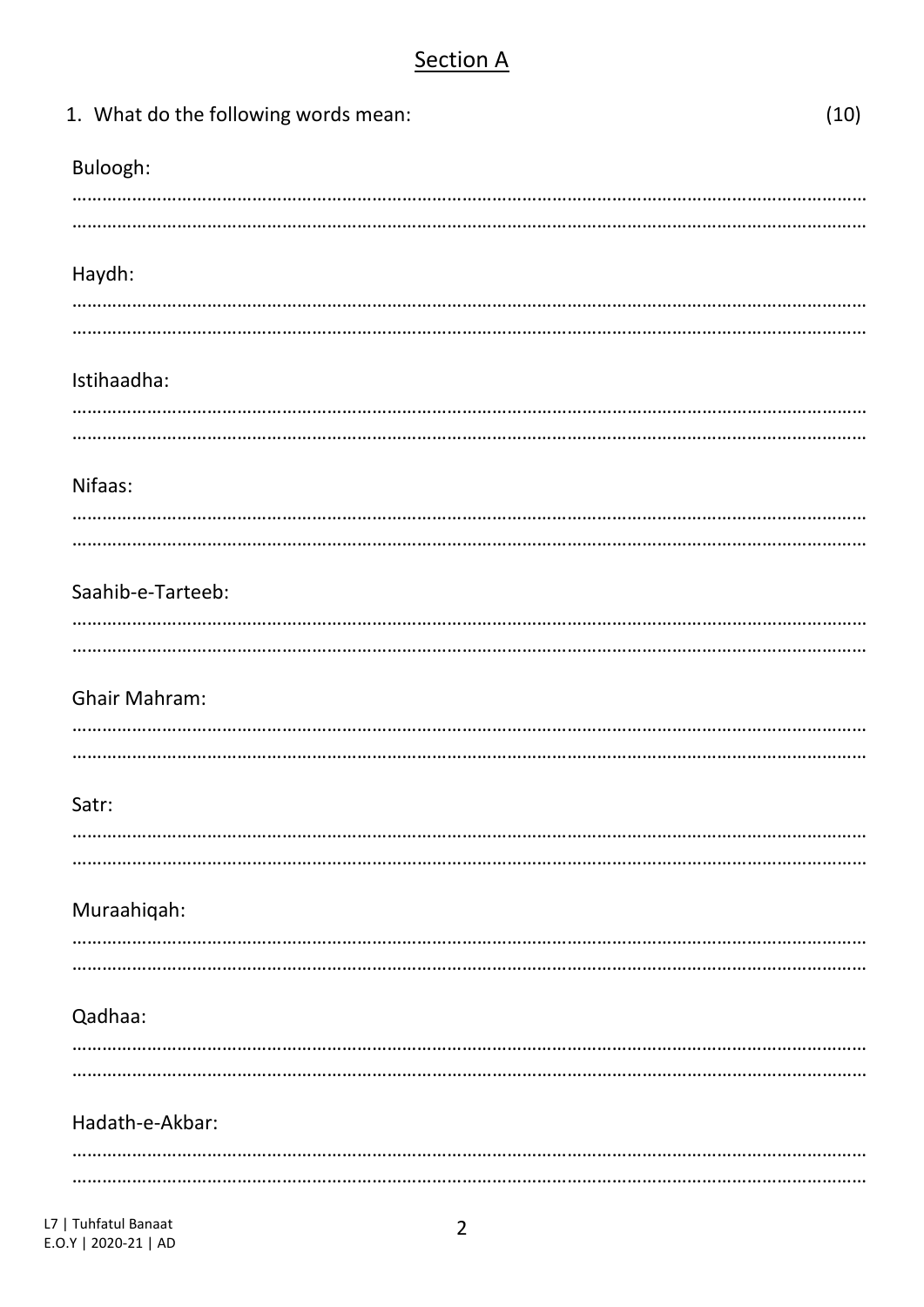## **Section A**

| 1. What do the following words mean: | (10) |
|--------------------------------------|------|
| Buloogh:                             |      |
|                                      |      |
| Haydh:                               |      |
|                                      |      |
| Istihaadha:                          |      |
|                                      |      |
| Nifaas:                              |      |
|                                      |      |
| Saahib-e-Tarteeb:                    |      |
|                                      |      |
| <b>Ghair Mahram:</b>                 |      |
|                                      |      |
| Satr:                                |      |
|                                      |      |
| Muraahiqah:                          |      |
|                                      |      |
| Qadhaa:                              |      |
|                                      |      |
| Hadath-e-Akbar:                      |      |
|                                      |      |
|                                      |      |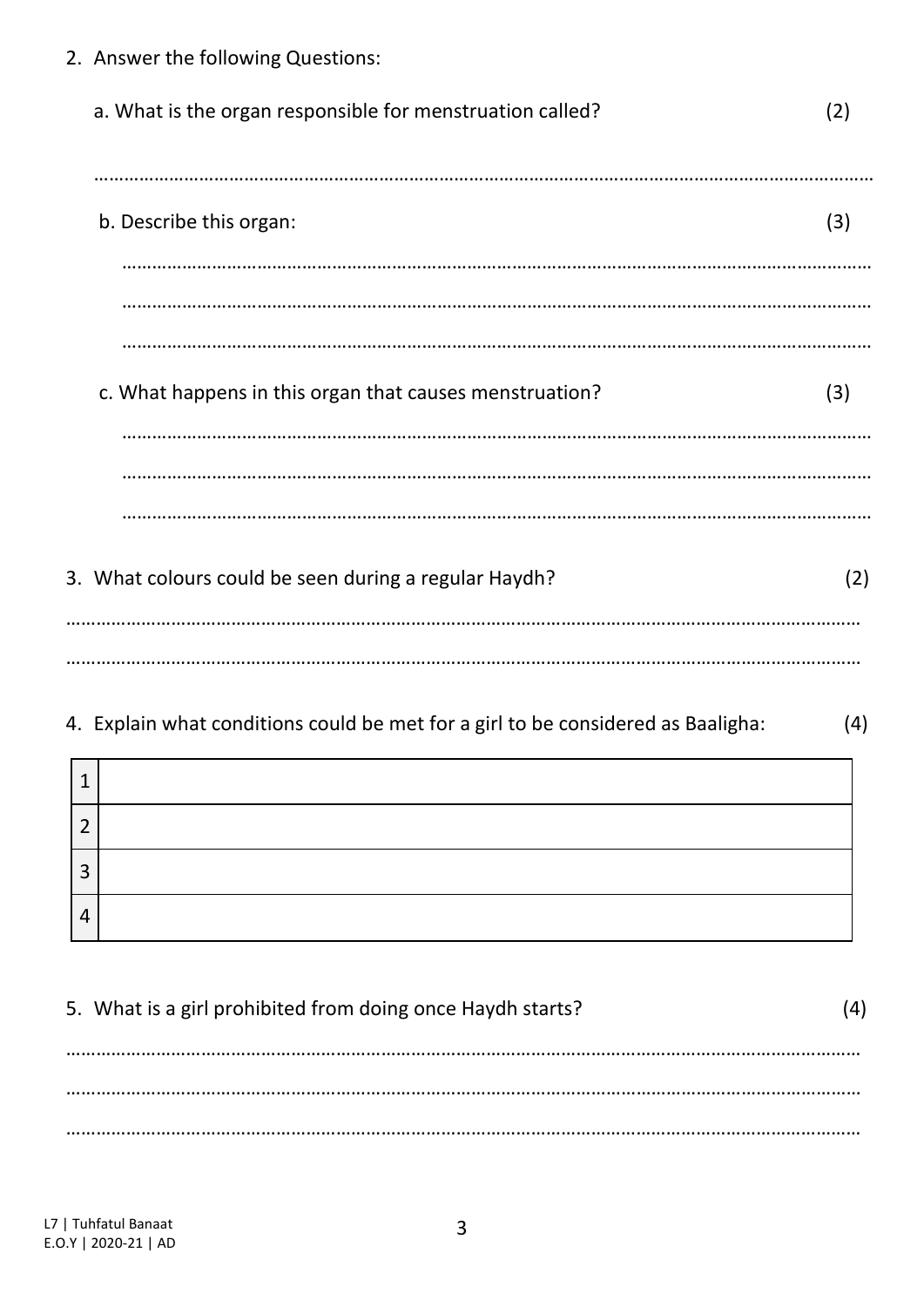- 2. Answer the following Questions: a. What is the organ responsible for menstruation called? (2) ………………………………………………………………………………………………………………………………………… b. Describe this organ: (3) …………………………………………………………………………………………………………………………………… …………………………………………………………………………………………………………………………………… …………………………………………………………………………………………………………………………………… c. What happens in this organ that causes menstruation? (3) …………………………………………………………………………………………………………………………………… …………………………………………………………………………………………………………………………………… …………………………………………………………………………………………………………………………………… 3. What colours could be seen during a regular Haydh? (2) …………………………………………………………………………………………………………………………………………… ……………………………………………………………………………………………………………………………………………
- 4. Explain what conditions could be met for a girl to be considered as Baaligha: (4)

| л |  |
|---|--|
| ┑ |  |
| 3 |  |
| 4 |  |

5. What is a girl prohibited from doing once Haydh starts? (4) …………………………………………………………………………………………………………………………………………… …………………………………………………………………………………………………………………………………………… ……………………………………………………………………………………………………………………………………………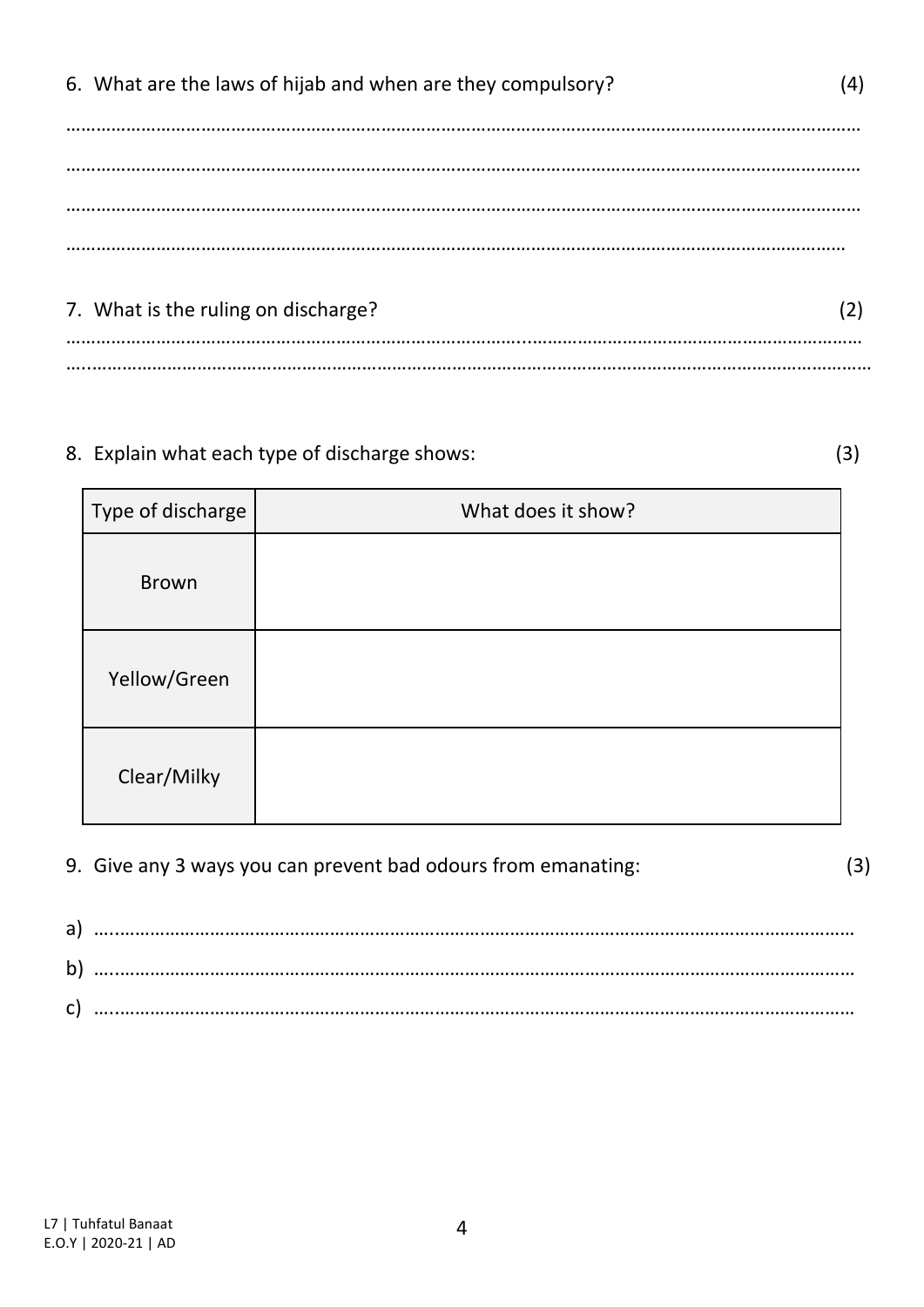| 6. What are the laws of hijab and when are they compulsory? |  |
|-------------------------------------------------------------|--|
|                                                             |  |
|                                                             |  |
|                                                             |  |
| 7. What is the ruling on discharge?                         |  |
|                                                             |  |

#### 8. Explain what each type of discharge shows: (3)

| Type of discharge | What does it show? |
|-------------------|--------------------|
| <b>Brown</b>      |                    |
| Yellow/Green      |                    |
| Clear/Milky       |                    |

9. Give any 3 ways you can prevent bad odours from emanating: (3)

a) …..………………………………………………………………………………………………………………………………… b) …..………………………………………………………………………………………………………………………………… c) …..…………………………………………………………………………………………………………………………………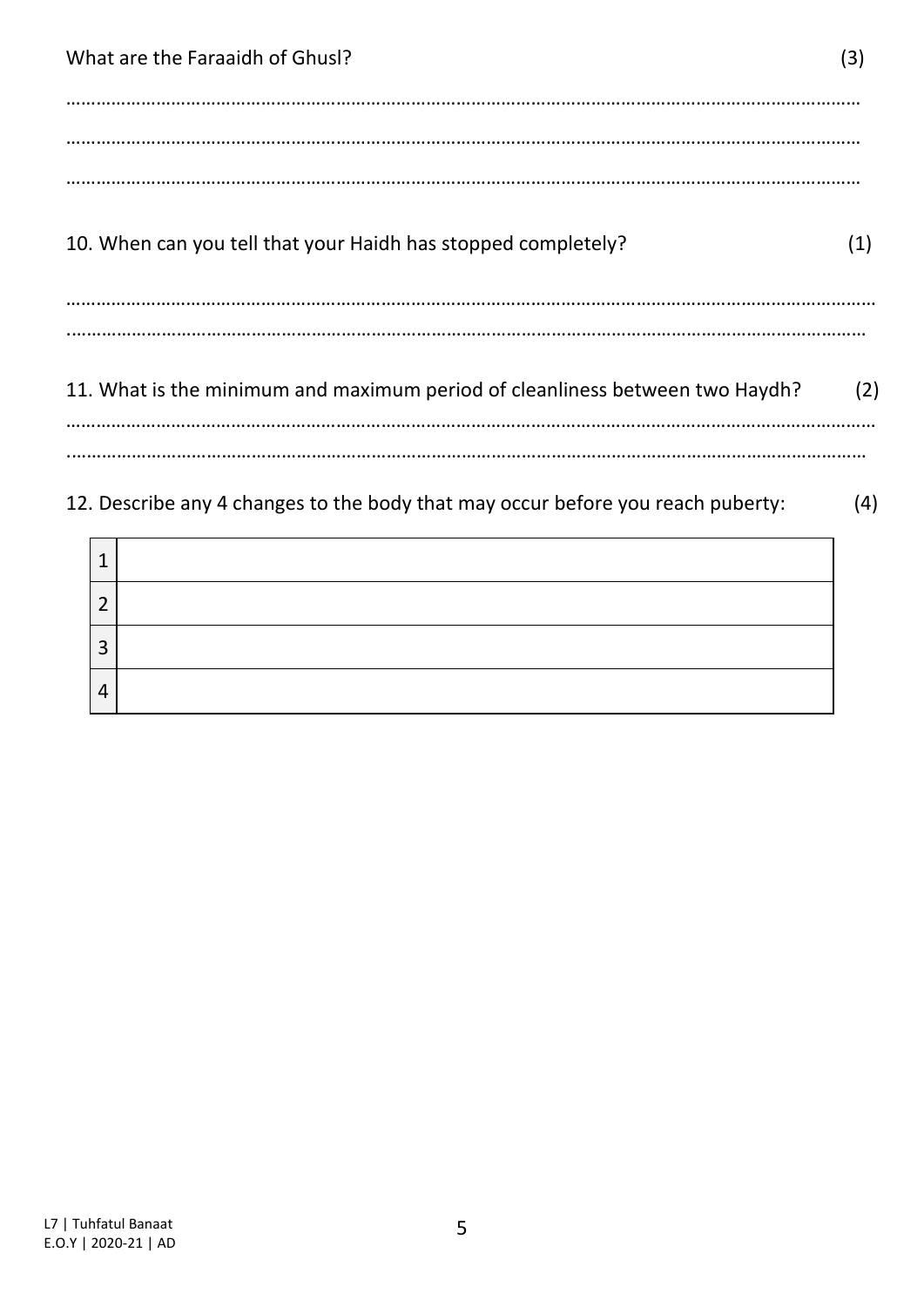What are the Faraaidh of Ghusl? (3) …………………………………………………………………………………………………………………………………………… …………………………………………………………………………………………………………………………………………… …………………………………………………………………………………………………………………………………………… 10. When can you tell that your Haidh has stopped completely? (1) ……………………………………………………………………………………………………………………………………………… .…………………………………………………………………………………………………………………………………………… 11. What is the minimum and maximum period of cleanliness between two Haydh? (2) ……………………………………………………………………………………………………………………………………………… .……………………………………………………………………………………………………………………………………………

12. Describe any 4 changes to the body that may occur before you reach puberty: (4)

| ◠      |  |
|--------|--|
| ົ<br>Э |  |
| 4      |  |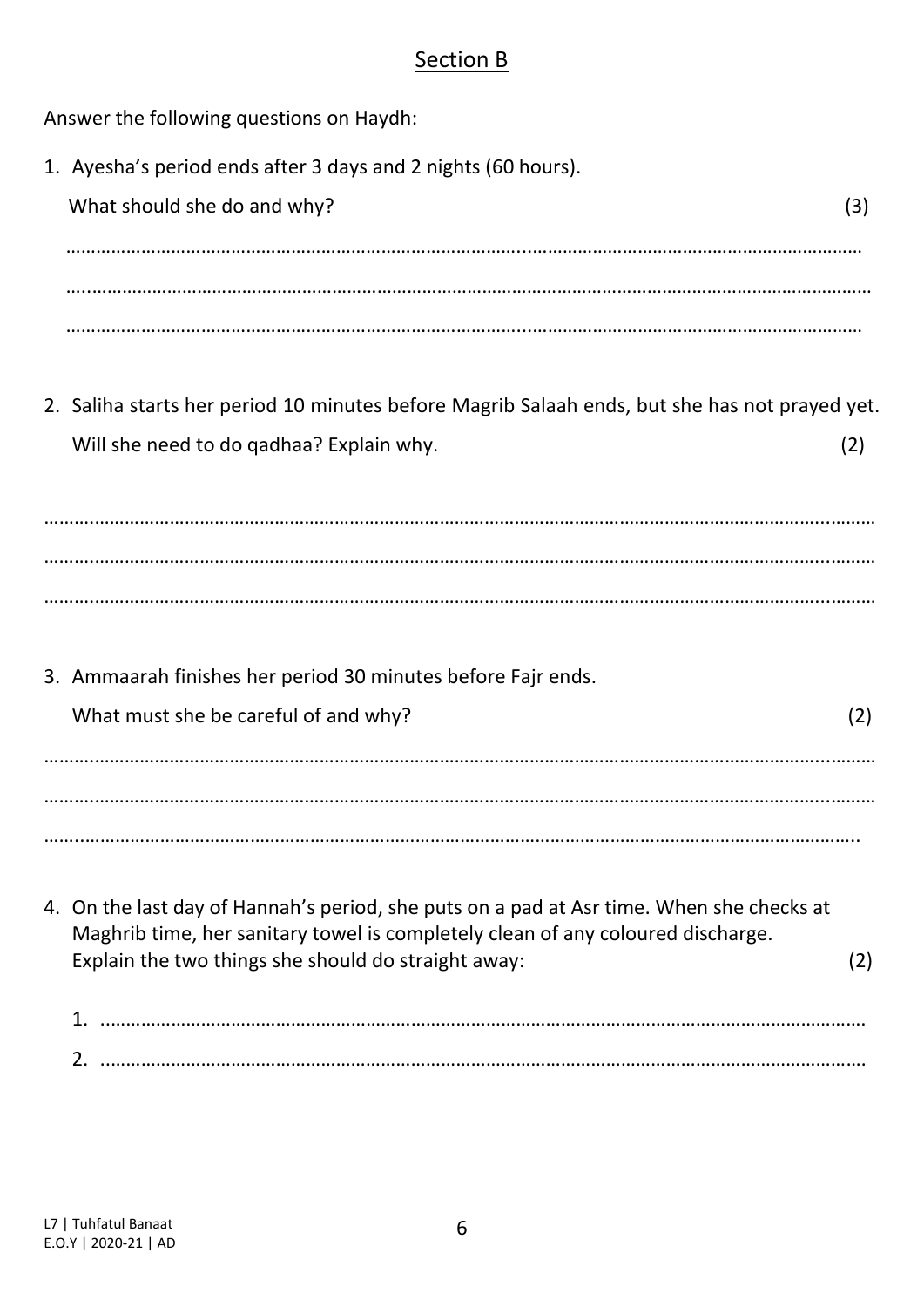### Section B

Answer the following questions on Haydh: 1. Ayesha's period ends after 3 days and 2 nights (60 hours). What should she do and why? (3) ………………………………………………………………………………...………………………………………………………… …..………………………………………………………………………………………………………………………………………… ………………………………………………………………………………...………………………………………………………… 2. Saliha starts her period 10 minutes before Magrib Salaah ends, but she has not prayed yet. Will she need to do qadhaa? Explain why. (2) ……….………………………………………………………………………………………………………………………………...……… ……….………………………………………………………………………………………………………………………………...……… ……….………………………………………………………………………………………………………………………………...……… 3. Ammaarah finishes her period 30 minutes before Fajr ends. What must she be careful of and why? (2) ……….………………………………………………………………………………………………………………………………...……… ……….………………………………………………………………………………………………………………………………...……… ……..……………………………………………………………………………………………………………………………………….. 4. On the last day of Hannah's period, she puts on a pad at Asr time. When she checks at Maghrib time, her sanitary towel is completely clean of any coloured discharge. Explain the two things she should do straight away: (2) 1. ..……………………………………………………………………………………………………………………………………. 2. ..…………………………………………………………………………………………………………………………………….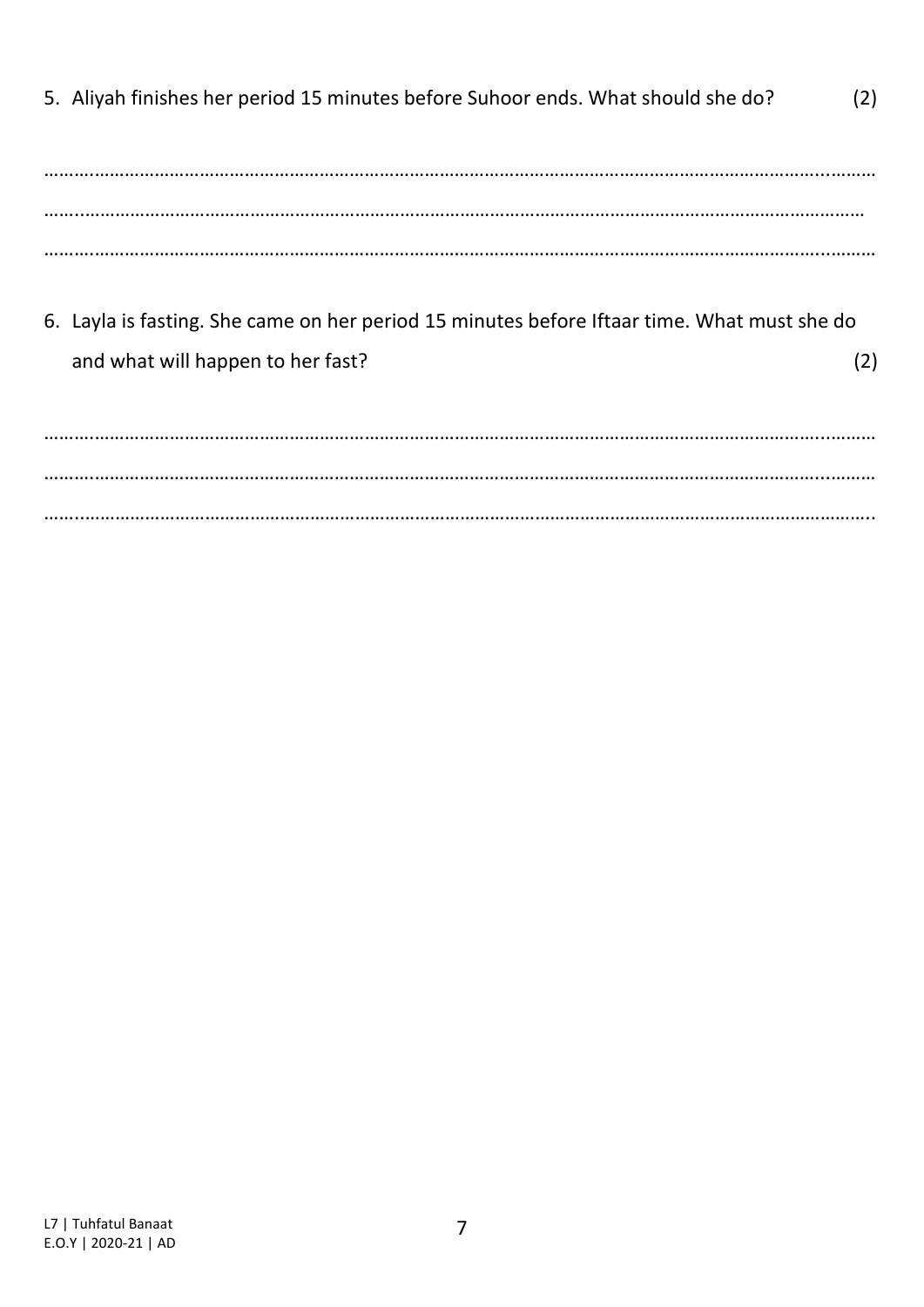5. Aliyah finishes her period 15 minutes before Suhoor ends. What should she do? (2) ……….………………………………………………………………………………………………………………………………...……… ……..………………………………………………………………………………………………………………………………………… ……….………………………………………………………………………………………………………………………………...………

6. Layla is fasting. She came on her period 15 minutes before Iftaar time. What must she do and what will happen to her fast? (2)

……….………………………………………………………………………………………………………………………………...……… ……….………………………………………………………………………………………………………………………………...……… ……..…………………………………………………………………………………………………………………………………………..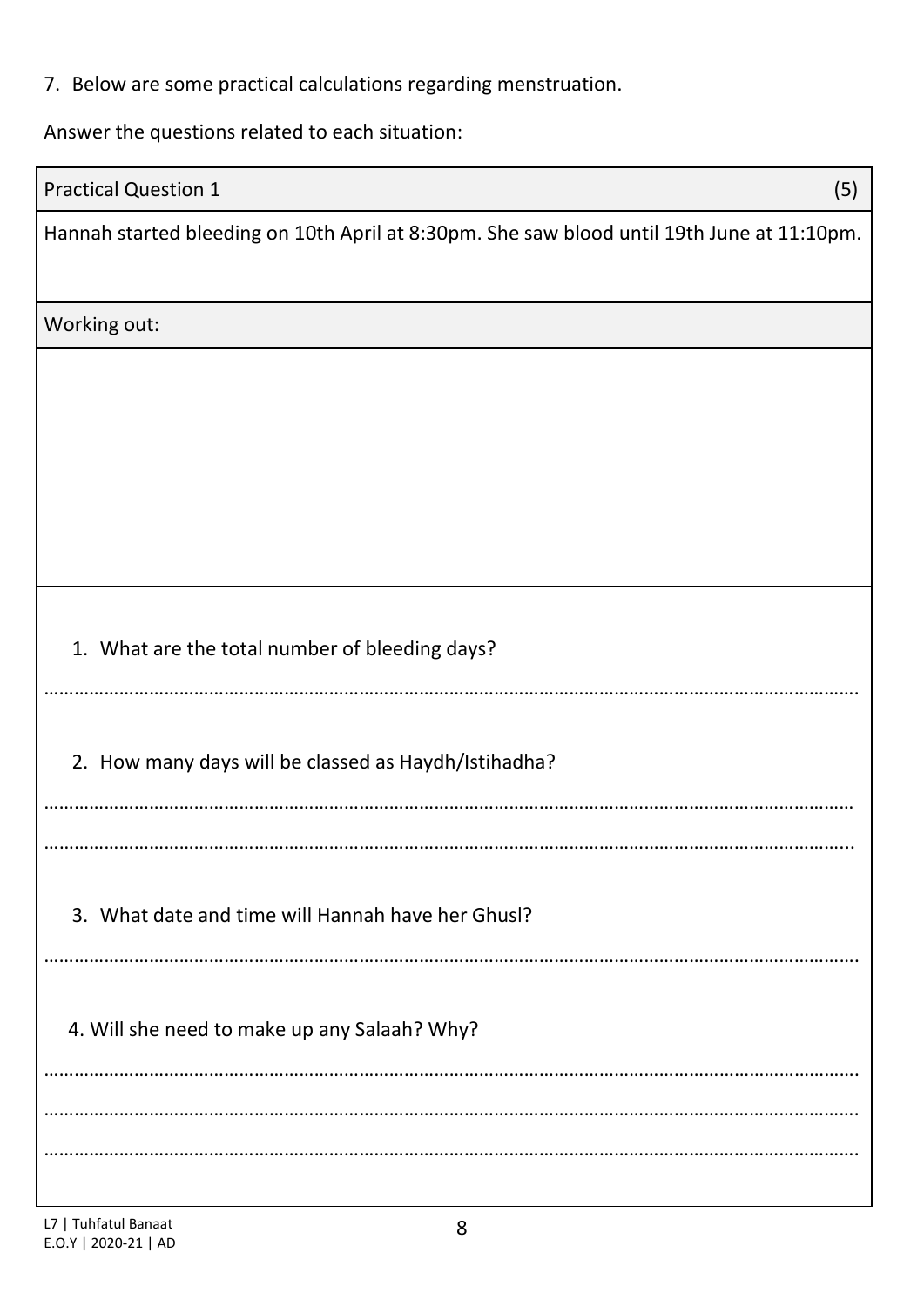|  |  |  | 7. Below are some practical calculations regarding menstruation. |  |  |  |
|--|--|--|------------------------------------------------------------------|--|--|--|
|--|--|--|------------------------------------------------------------------|--|--|--|

Answer the questions related to each situation:

| <b>Practical Question 1</b>                                                                | (5) |
|--------------------------------------------------------------------------------------------|-----|
| Hannah started bleeding on 10th April at 8:30pm. She saw blood until 19th June at 11:10pm. |     |
| Working out:                                                                               |     |
|                                                                                            |     |
|                                                                                            |     |
|                                                                                            |     |
|                                                                                            |     |
|                                                                                            |     |
|                                                                                            |     |
| 1. What are the total number of bleeding days?                                             |     |
|                                                                                            |     |
| 2. How many days will be classed as Haydh/Istihadha?                                       |     |
|                                                                                            |     |
|                                                                                            |     |
|                                                                                            |     |
| 3. What date and time will Hannah have her Ghusl?                                          |     |
|                                                                                            |     |
| 4. Will she need to make up any Salaah? Why?                                               |     |
|                                                                                            |     |
|                                                                                            |     |
|                                                                                            |     |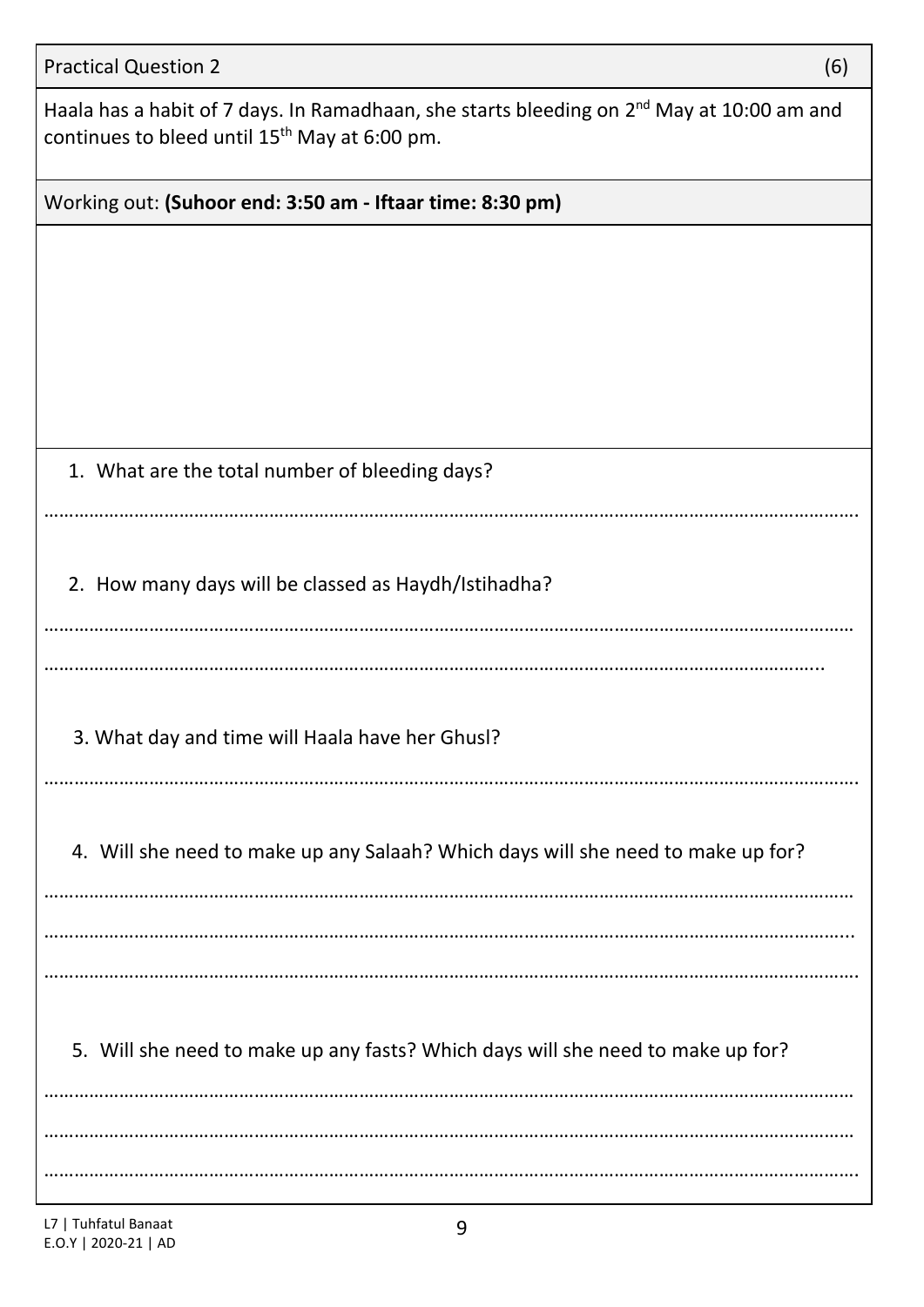| <b>Practical Question 2</b><br>(6)                                                                                                                                 |
|--------------------------------------------------------------------------------------------------------------------------------------------------------------------|
| Haala has a habit of 7 days. In Ramadhaan, she starts bleeding on 2 <sup>nd</sup> May at 10:00 am and<br>continues to bleed until 15 <sup>th</sup> May at 6:00 pm. |
| Working out: (Suhoor end: 3:50 am - Iftaar time: 8:30 pm)                                                                                                          |
|                                                                                                                                                                    |
|                                                                                                                                                                    |
|                                                                                                                                                                    |
|                                                                                                                                                                    |
|                                                                                                                                                                    |
| 1. What are the total number of bleeding days?                                                                                                                     |
|                                                                                                                                                                    |
| 2. How many days will be classed as Haydh/Istihadha?                                                                                                               |
|                                                                                                                                                                    |
|                                                                                                                                                                    |
| 3. What day and time will Haala have her Ghusl?                                                                                                                    |
|                                                                                                                                                                    |
| 4. Will she need to make up any Salaah? Which days will she need to make up for?                                                                                   |
|                                                                                                                                                                    |
|                                                                                                                                                                    |
|                                                                                                                                                                    |
| 5. Will she need to make up any fasts? Which days will she need to make up for?                                                                                    |
|                                                                                                                                                                    |
|                                                                                                                                                                    |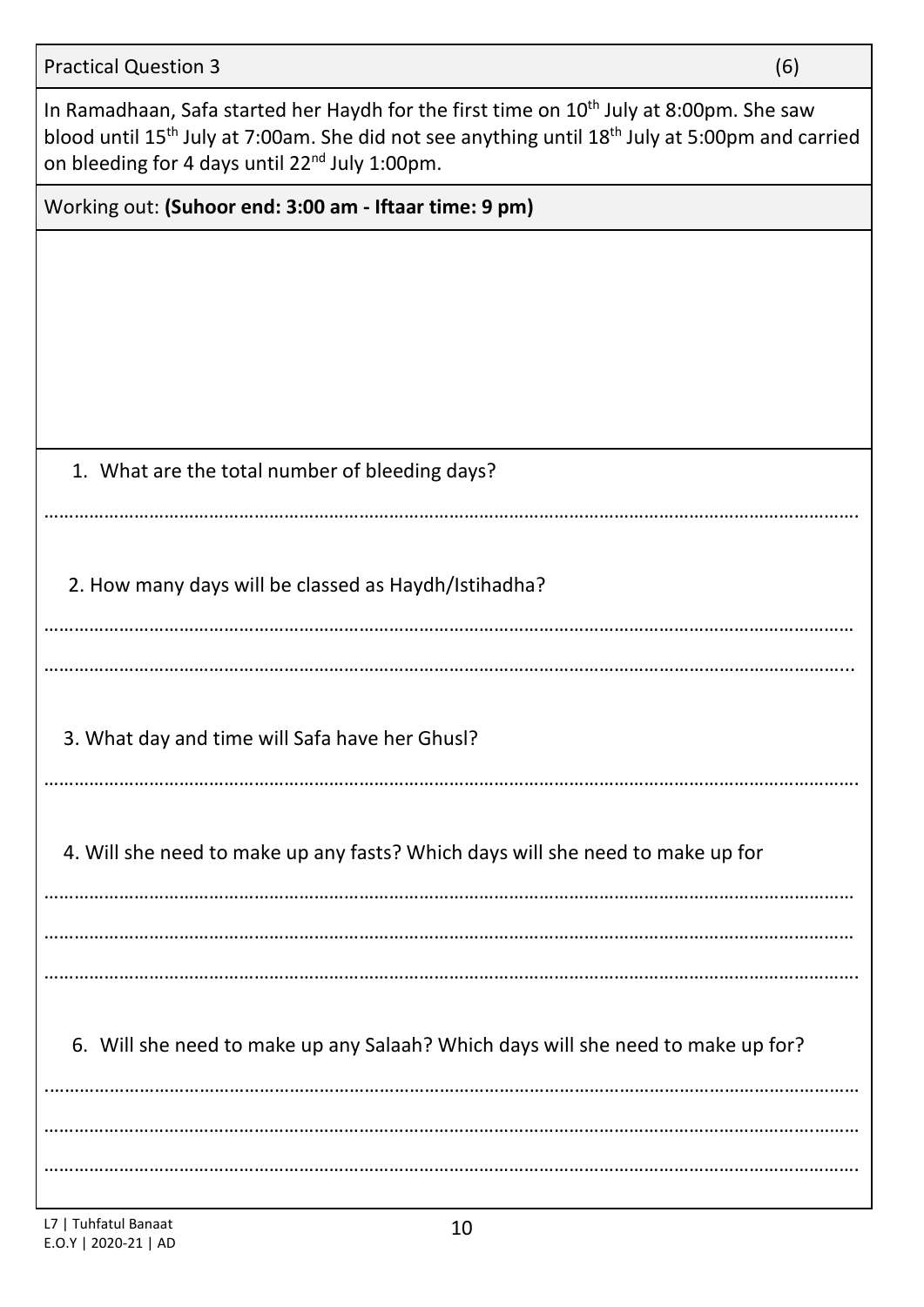In Ramadhaan, Safa started her Haydh for the first time on 10<sup>th</sup> July at 8:00pm. She saw blood until 15<sup>th</sup> July at 7:00am. She did not see anything until 18<sup>th</sup> July at 5:00pm and carried on bleeding for 4 days until 22<sup>nd</sup> July 1:00pm.

Working out: **(Suhoor end: 3:00 am - Iftaar time: 9 pm)**

|  | 1. What are the total number of bleeding days? |  |  |  |
|--|------------------------------------------------|--|--|--|
|--|------------------------------------------------|--|--|--|

……………………………………………………………………………………………………………………………………………….

2. How many days will be classed as Haydh/Istihadha?

……………………………………………………………………………………………………………………………………………...

………………………………………………………………………………………………………………………………………………

3. What day and time will Safa have her Ghusl?

……………………………………………………………………………………………………………………………………………….

4. Will she need to make up any fasts? Which days will she need to make up for

……………………………………………………………………………………………………………………………………………… ……………………………………………………………………………………………………………………………………………… ……………………………………………………………………………………………………………………………………………….

6. Will she need to make up any Salaah? Which days will she need to make up for?

.……………………………………………………………………………………………………………………………………………… ……………………………………………………………………………………………………………………………………….………

……………………………………………………………………………………………………………………………………………….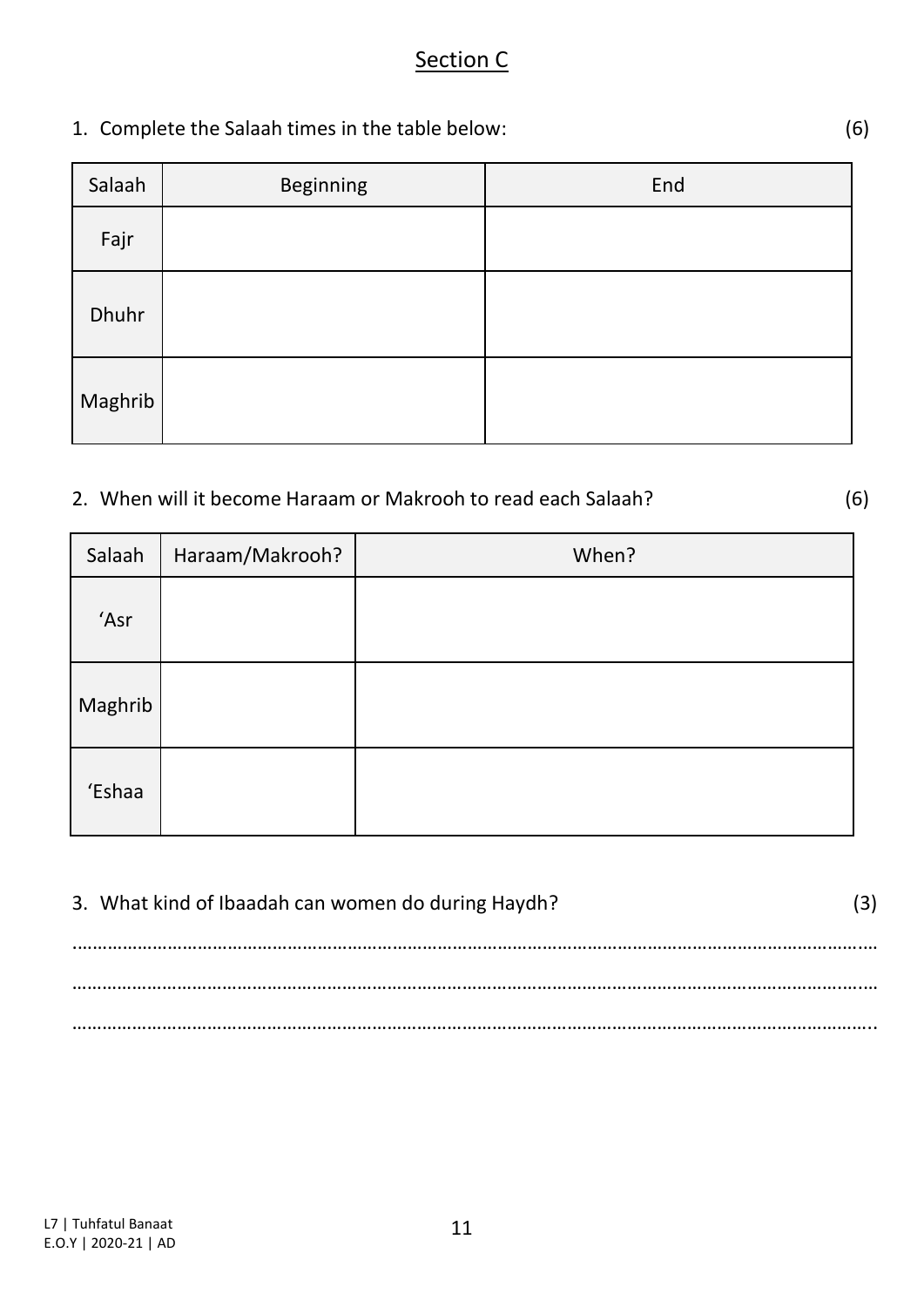### Section C

1. Complete the Salaah times in the table below: (6)

| Salaah  | <b>Beginning</b> | End |
|---------|------------------|-----|
| Fajr    |                  |     |
| Dhuhr   |                  |     |
| Maghrib |                  |     |

### 2. When will it become Haraam or Makrooh to read each Salaah? (6)

Salaah | Haraam/Makrooh? | When? 'Asr Maghrib 'Eshaa

| 3. What kind of Ibaadah can women do during Haydh? |  |
|----------------------------------------------------|--|
|                                                    |  |
|                                                    |  |
|                                                    |  |